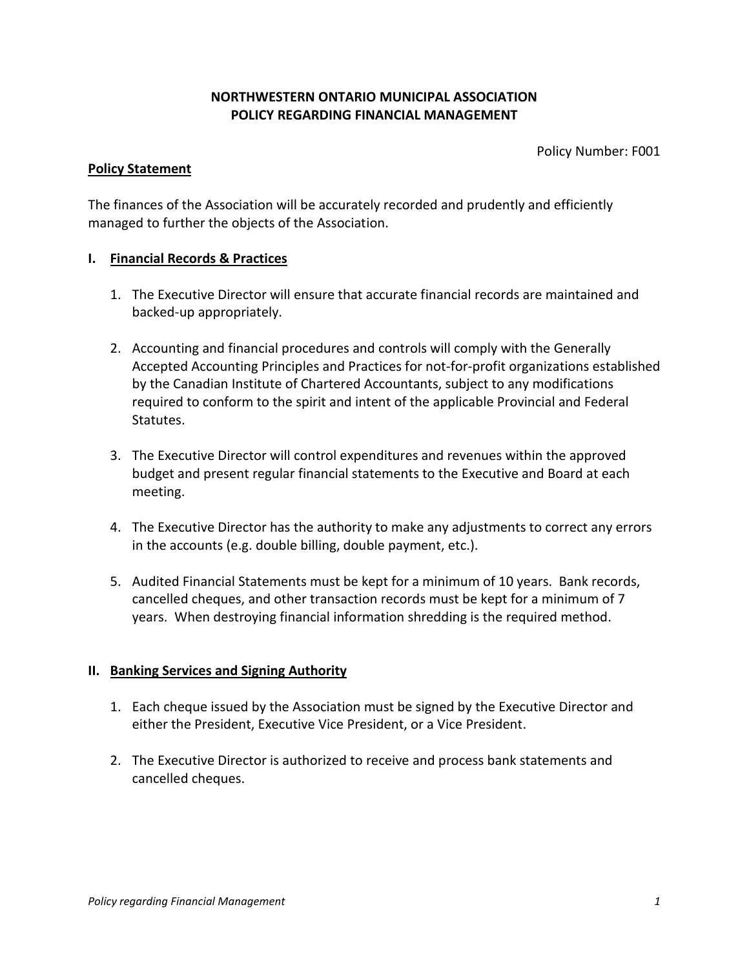## **NORTHWESTERN ONTARIO MUNICIPAL ASSOCIATION POLICY REGARDING FINANCIAL MANAGEMENT**

Policy Number: F001

#### **Policy Statement**

The finances of the Association will be accurately recorded and prudently and efficiently managed to further the objects of the Association.

### **I. Financial Records & Practices**

- 1. The Executive Director will ensure that accurate financial records are maintained and backed-up appropriately.
- 2. Accounting and financial procedures and controls will comply with the Generally Accepted Accounting Principles and Practices for not-for-profit organizations established by the Canadian Institute of Chartered Accountants, subject to any modifications required to conform to the spirit and intent of the applicable Provincial and Federal Statutes.
- 3. The Executive Director will control expenditures and revenues within the approved budget and present regular financial statements to the Executive and Board at each meeting.
- 4. The Executive Director has the authority to make any adjustments to correct any errors in the accounts (e.g. double billing, double payment, etc.).
- 5. Audited Financial Statements must be kept for a minimum of 10 years. Bank records, cancelled cheques, and other transaction records must be kept for a minimum of 7 years. When destroying financial information shredding is the required method.

### **II. Banking Services and Signing Authority**

- 1. Each cheque issued by the Association must be signed by the Executive Director and either the President, Executive Vice President, or a Vice President.
- 2. The Executive Director is authorized to receive and process bank statements and cancelled cheques.